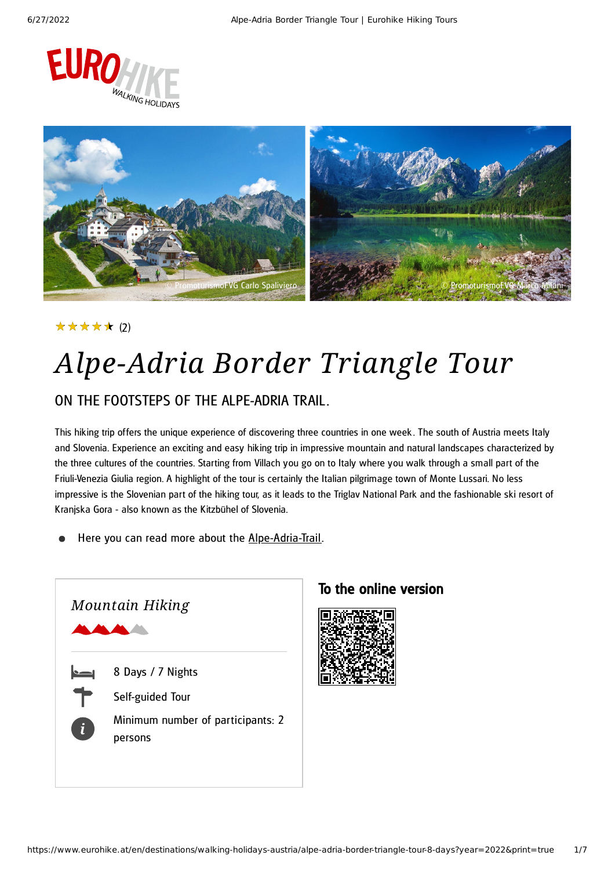



### (2) ★★★★★

# *Alpe-Adria Border Triangle Tour*

### ON THE FOOTSTEPS OF THE ALPE-ADRIA TRAIL.

This hiking trip offers the unique experience of discovering three countries in one week . The south of Austria meets Italy and Slovenia. Experience an exciting and easy hiking trip in impressive mountain and natural landscapes characterized by the three cultures of the countries. Starting from Villach you go on to Italy where you walk through a small part of the Friuli-Venezia Giulia region. A highlight of the tour is certainly the Italian pilgrimage town of Monte Lussari. No less impressive is the Slovenian part of the hiking tour, as it leads to the Triglav National Park and the fashionable ski resort of Kranjska Gora - also known as the Kitzbühel of Slovenia.

Here you can read more about the [Alpe-Adria-Trail](https://www.eurohike.at/en/hiking-paths/alpe-adria-trail).



### To the online version

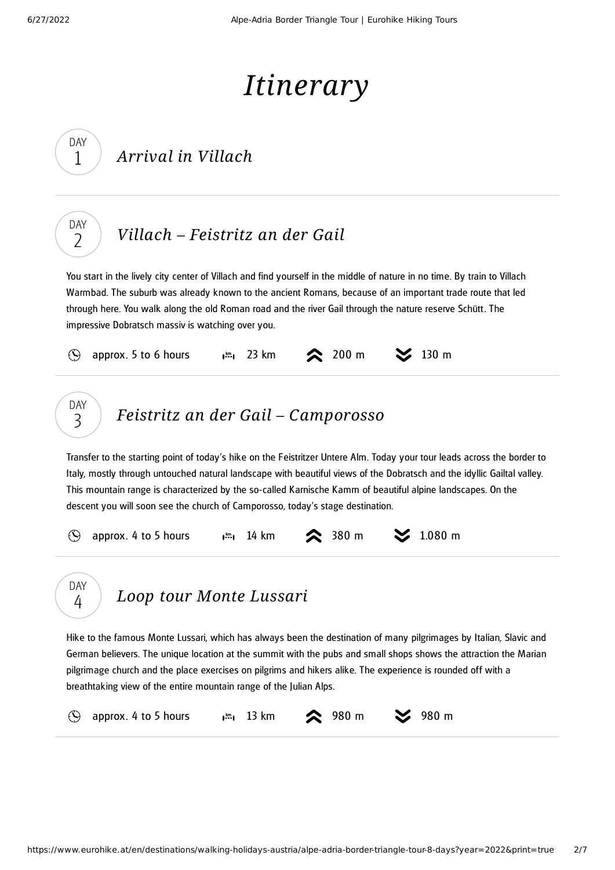DAY 1

DAY  $\overline{\phantom{0}}$ 

DAY 4

# *Itinerary*

| Arrival in Villach |  |
|--------------------|--|
|                    |  |

### *Villach – [Feistritz](#page-1-0) an der Gail*

<span id="page-1-0"></span>You start in the lively city center of Villach and find yourself in the middle of nature in no time. By train to Villach Warmbad. The suburb was already known to the ancient Romans, because of an important trade route that led through here. You walk along the old Roman road and the river Gail through the nature reserve Schütt. The impressive Dobratsch massiv is watching over you.



<span id="page-1-1"></span>Transfer to the starting point of today's hike on the Feistritzer Untere Alm. Today your tour leads across the border to Italy, mostly through untouched natural landscape with beautiful views of the Dobratsch and the idyllic Gailtal valley. This mountain range is characterized by the so-called Karnische Kamm of beautiful alpine landscapes. On the descent you will soon see the church of Camporosso, today's stage destination.



*Loop tour Monte [Lussari](#page-1-2)*

<span id="page-1-2"></span>Hike to the famous Monte Lussari, which has always been the destination of many pilgrimages by Italian, Slavic and German believers. The unique location at the summit with the pubs and small shops shows the attraction the Marian pilgrimage church and the place exercises on pilgrims and hikers alike. The experience is rounded off with a breathtaking view of the entire mountain range of the Julian Alps.

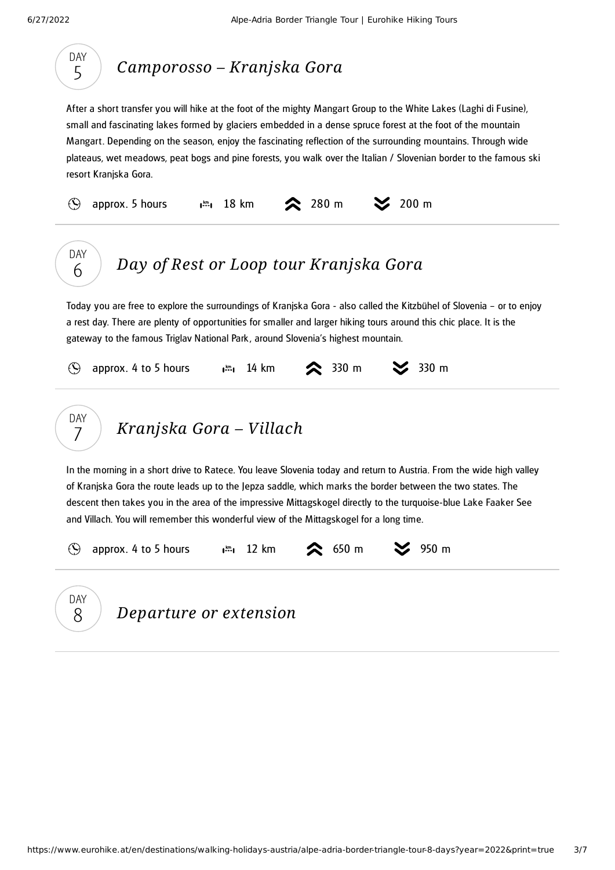DAY

<span id="page-2-2"></span>8

<span id="page-2-1"></span><span id="page-2-0"></span>

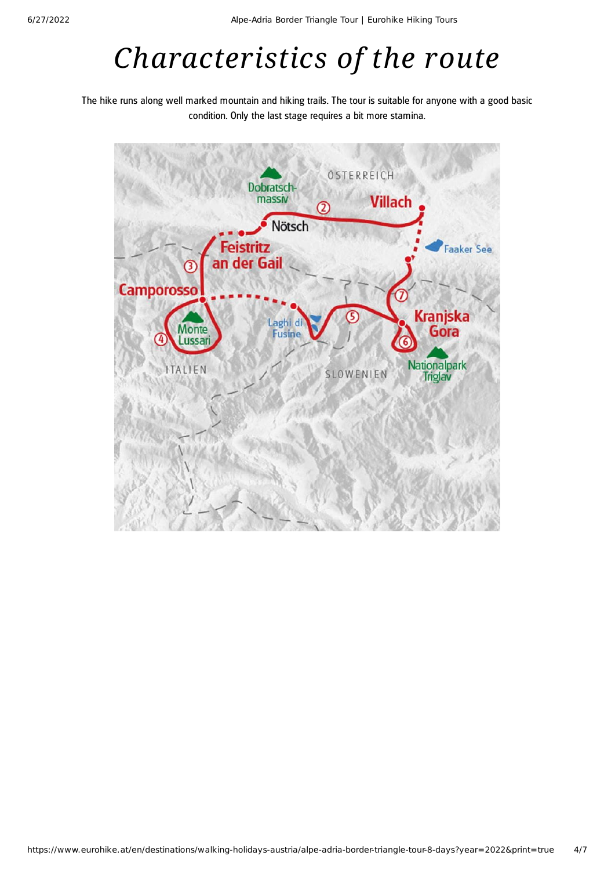# *Characteristics of the route*

The hike runs along well marked mountain and hiking trails. The tour is suitable for anyone with a good basic condition. Only the last stage requires a bit more stamina.

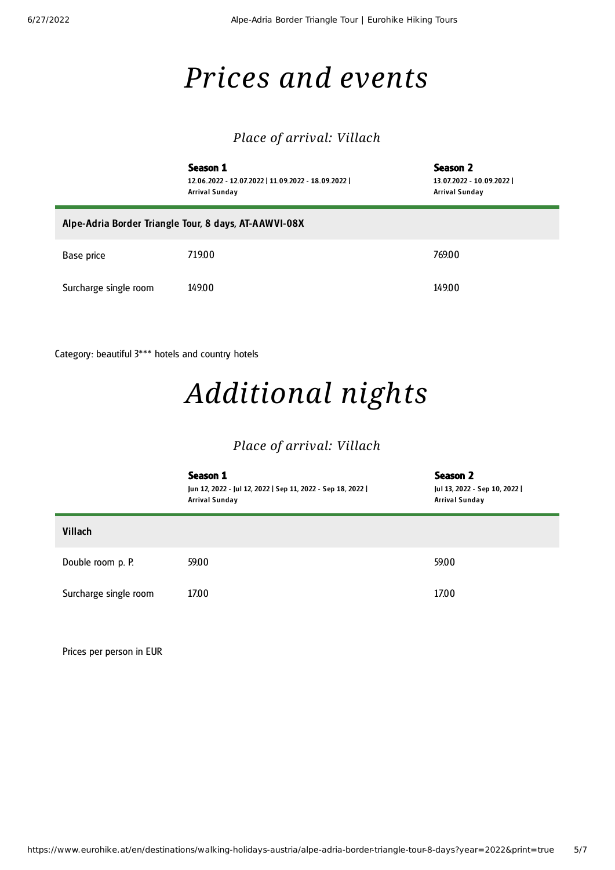### *Prices and events*

### *Place of arrival: Villach*

|                                                       | Season 1<br>12.06.2022 - 12.07.2022   11.09.2022 - 18.09.2022  <br><b>Arrival Sunday</b> | Season 2<br>13.07.2022 - 10.09.2022  <br><b>Arrival Sunday</b> |  |  |
|-------------------------------------------------------|------------------------------------------------------------------------------------------|----------------------------------------------------------------|--|--|
| Alpe-Adria Border Triangle Tour, 8 days, AT-AAWVI-08X |                                                                                          |                                                                |  |  |
| Base price                                            | 719.00                                                                                   | 769.00                                                         |  |  |
| Surcharge single room                                 | 149.00                                                                                   | 149.00                                                         |  |  |

Category: beautiful 3\*\*\* hotels and country hotels

## *Additional nights*

### *Place of arrival: Villach*

|                       | Season 1<br>Jun 12, 2022 - Jul 12, 2022   Sep 11, 2022 - Sep 18, 2022  <br><b>Arrival Sunday</b> | <b>Season 2</b><br>Jul 13, 2022 - Sep 10, 2022  <br><b>Arrival Sunday</b> |
|-----------------------|--------------------------------------------------------------------------------------------------|---------------------------------------------------------------------------|
| Villach               |                                                                                                  |                                                                           |
| Double room p. P.     | 59.00                                                                                            | 59.00                                                                     |
| Surcharge single room | 17.00                                                                                            | 17.00                                                                     |

Prices per person in EUR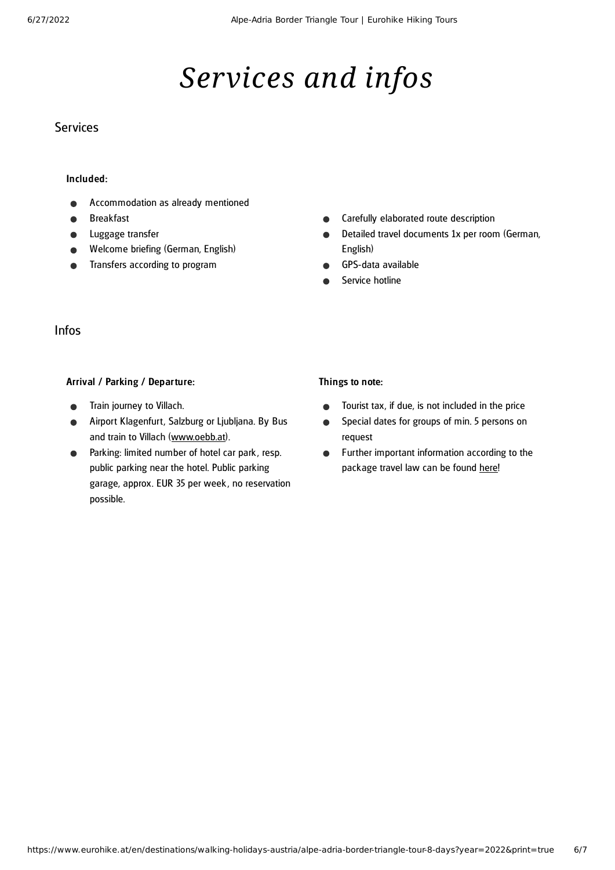# *Services and infos*

### **Services**

#### Included:

- Accommodation as already mentioned
- Breakfast
- Luggage transfer
- Welcome briefing (German, English)
- Transfers according to program
- Carefully elaborated route description  $\bullet$
- Detailed travel documents 1x per room (German,  $\bullet$ English)
- GPS-data available
- Service hotline

### Infos

#### Arrival / Parking / Departure:

- Train journey to Villach.
- $\bullet$ Airport Klagenfurt, Salzburg or Ljubljana. By Bus and train to Villach ([www.oebb.at](http://www.oebb.at/)).
- Parking: limited number of hotel car park, resp. public parking near the hotel. Public parking garage, approx. EUR 35 per week , no reservation possible.

#### Things to note:

- Tourist tax, if due, is not included in the price  $\bullet$
- Special dates for groups of min. 5 persons on  $\bullet$ request
- Further important information according to the  $\bullet$ package travel law can be found [here](https://www.eurohike.at/en/travel-information/before-the-tour/pci)!